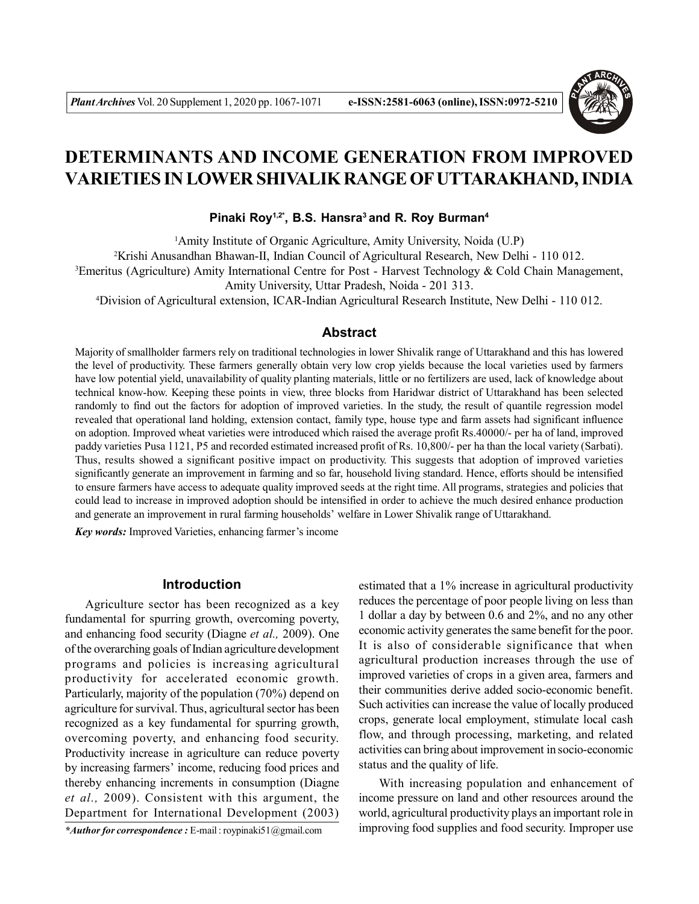

# **DETERMINANTS AND INCOME GENERATION FROM IMPROVED VARIETIES IN LOWER SHIVALIK RANGE OF UTTARAKHAND, INDIA**

## **Pinaki Roy1,2\*, B.S. Hansra<sup>3</sup>and R. Roy Burman<sup>4</sup>**

<sup>1</sup>Amity Institute of Organic Agriculture, Amity University, Noida (U.P) <sup>2</sup>Krishi Anusandhan Bhawan-II, Indian Council of Agricultural Research, New Delhi - 110 012. <sup>3</sup>Emeritus (Agriculture) Amity International Centre for Post - Harvest Technology & Cold Chain Management, Amity University, Uttar Pradesh, Noida - 201 313.

<sup>4</sup>Division of Agricultural extension, ICAR-Indian Agricultural Research Institute, New Delhi - 110 012.

# **Abstract**

Majority of smallholder farmers rely on traditional technologies in lower Shivalik range of Uttarakhand and this has lowered the level of productivity. These farmers generally obtain very low crop yields because the local varieties used by farmers have low potential yield, unavailability of quality planting materials, little or no fertilizers are used, lack of knowledge about technical know-how. Keeping these points in view, three blocks from Haridwar district of Uttarakhand has been selected randomly to find out the factors for adoption of improved varieties. In the study, the result of quantile regression model revealed that operational land holding, extension contact, family type, house type and farm assets had significant influence on adoption. Improved wheat varieties were introduced which raised the average profit Rs.40000/- per ha of land, improved paddy varieties Pusa 1121, P5 and recorded estimated increased profit of Rs. 10,800/- per ha than the local variety (Sarbati). Thus, results showed a significant positive impact on productivity. This suggests that adoption of improved varieties significantly generate an improvement in farming and so far, household living standard. Hence, efforts should be intensified to ensure farmers have access to adequate quality improved seeds at the right time. All programs, strategies and policies that could lead to increase in improved adoption should be intensified in order to achieve the much desired enhance production and generate an improvement in rural farming households' welfare in Lower Shivalik range of Uttarakhand.

*Key words:* Improved Varieties, enhancing farmer's income

## **Introduction**

Agriculture sector has been recognized as a key fundamental for spurring growth, overcoming poverty, and enhancing food security (Diagne *et al.,* 2009). One of the overarching goals of Indian agriculture development programs and policies is increasing agricultural productivity for accelerated economic growth. Particularly, majority of the population (70%) depend on agriculture for survival. Thus, agricultural sector has been recognized as a key fundamental for spurring growth, overcoming poverty, and enhancing food security. Productivity increase in agriculture can reduce poverty by increasing farmers' income, reducing food prices and thereby enhancing increments in consumption (Diagne *et al.,* 2009). Consistent with this argument, the Department for International Development (2003)

*\*Author for correspondence :* E-mail : roypinaki51@gmail.com

estimated that a 1% increase in agricultural productivity reduces the percentage of poor people living on less than 1 dollar a day by between 0.6 and 2%, and no any other economic activity generates the same benefit for the poor. It is also of considerable significance that when agricultural production increases through the use of improved varieties of crops in a given area, farmers and their communities derive added socio-economic benefit. Such activities can increase the value of locally produced crops, generate local employment, stimulate local cash flow, and through processing, marketing, and related activities can bring about improvement in socio-economic status and the quality of life.

With increasing population and enhancement of income pressure on land and other resources around the world, agricultural productivity plays an important role in improving food supplies and food security. Improper use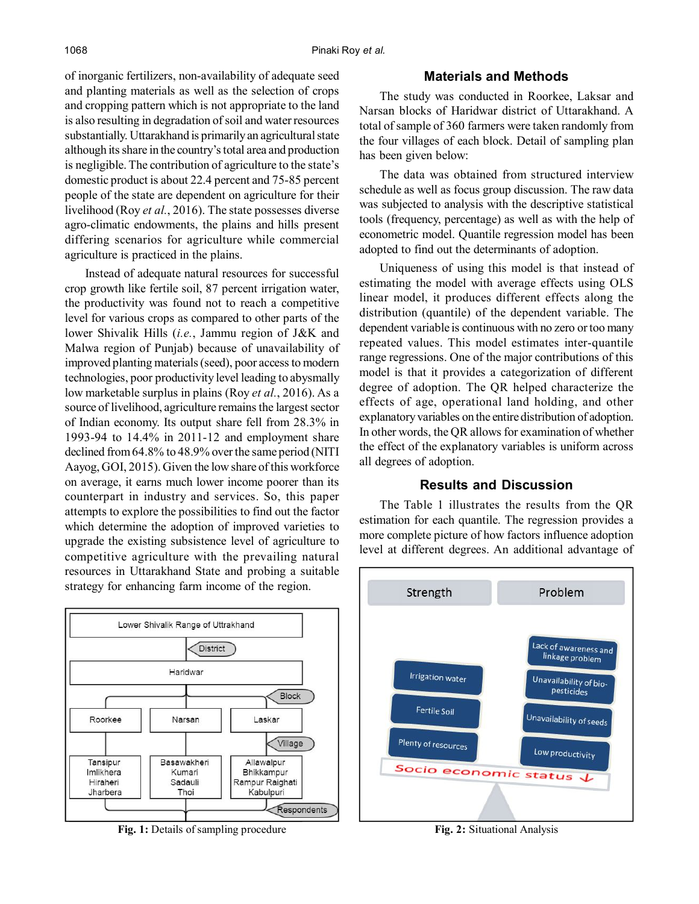of inorganic fertilizers, non-availability of adequate seed and planting materials as well as the selection of crops and cropping pattern which is not appropriate to the land is also resulting in degradation of soil and water resources substantially. Uttarakhand is primarily an agricultural state although its share in the country's total area and production is negligible. The contribution of agriculture to the state's domestic product is about 22.4 percent and 75-85 percent people of the state are dependent on agriculture for their livelihood (Roy *et al.*, 2016). The state possesses diverse agro-climatic endowments, the plains and hills present differing scenarios for agriculture while commercial agriculture is practiced in the plains.

Instead of adequate natural resources for successful crop growth like fertile soil, 87 percent irrigation water, the productivity was found not to reach a competitive level for various crops as compared to other parts of the lower Shivalik Hills (*i.e.*, Jammu region of J&K and Malwa region of Punjab) because of unavailability of improved planting materials (seed), poor access to modern technologies, poor productivity level leading to abysmally low marketable surplus in plains (Roy *et al.*, 2016). As a source of livelihood, agriculture remains the largest sector of Indian economy. Its output share fell from 28.3% in 1993-94 to 14.4% in 2011-12 and employment share declined from 64.8% to 48.9% over the same period (NITI Aayog, GOI, 2015). Given the low share of this workforce on average, it earns much lower income poorer than its counterpart in industry and services. So, this paper attempts to explore the possibilities to find out the factor which determine the adoption of improved varieties to upgrade the existing subsistence level of agriculture to competitive agriculture with the prevailing natural resources in Uttarakhand State and probing a suitable strategy for enhancing farm income of the region.



Fig. 1: Details of sampling procedure **Fig. 2:** Situational Analysis

# **Materials and Methods**

The study was conducted in Roorkee, Laksar and Narsan blocks of Haridwar district of Uttarakhand. A total of sample of 360 farmers were taken randomly from the four villages of each block. Detail of sampling plan has been given below:

The data was obtained from structured interview schedule as well as focus group discussion. The raw data was subjected to analysis with the descriptive statistical tools (frequency, percentage) as well as with the help of econometric model. Quantile regression model has been adopted to find out the determinants of adoption.

Uniqueness of using this model is that instead of estimating the model with average effects using OLS linear model, it produces different effects along the distribution (quantile) of the dependent variable. The dependent variable is continuous with no zero or too many repeated values. This model estimates inter-quantile range regressions. One of the major contributions of this model is that it provides a categorization of different degree of adoption. The QR helped characterize the effects of age, operational land holding, and other explanatory variables on the entire distribution of adoption. In other words, the QR allows for examination of whether the effect of the explanatory variables is uniform across all degrees of adoption.

## **Results and Discussion**

The Table 1 illustrates the results from the QR estimation for each quantile. The regression provides a more complete picture of how factors influence adoption level at different degrees. An additional advantage of

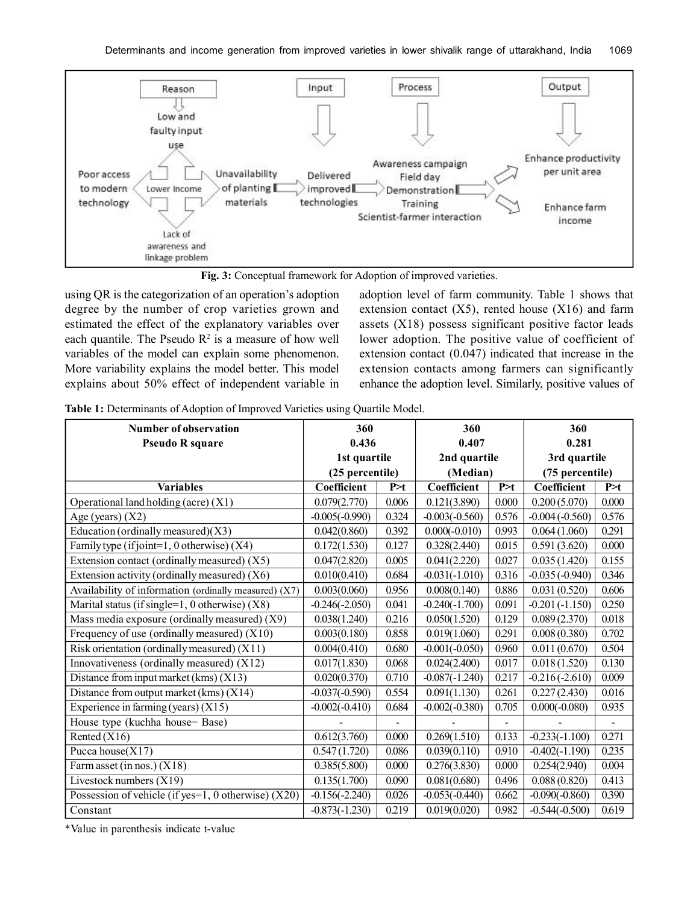

**Fig. 3:** Conceptual framework for Adoption of improved varieties.

using QR is the categorization of an operation's adoption degree by the number of crop varieties grown and estimated the effect of the explanatory variables over each quantile. The Pseudo  $\mathbb{R}^2$  is a measure of how well variables of the model can explain some phenomenon. More variability explains the model better. This model explains about 50% effect of independent variable in

adoption level of farm community. Table 1 shows that extension contact  $(X5)$ , rented house  $(X16)$  and farm assets (X18) possess significant positive factor leads lower adoption. The positive value of coefficient of extension contact (0.047) indicated that increase in the extension contacts among farmers can significantly enhance the adoption level. Similarly, positive values of

| Table 1: Determinants of Adoption of Improved Varieties using Quartile Model. |  |  |  |  |
|-------------------------------------------------------------------------------|--|--|--|--|
|-------------------------------------------------------------------------------|--|--|--|--|

| Number of observation                                 | 360              |                | 360              |                | 360              |               |
|-------------------------------------------------------|------------------|----------------|------------------|----------------|------------------|---------------|
| <b>Pseudo R square</b>                                | 0.436            |                | 0.407            |                | 0.281            |               |
|                                                       | 1st quartile     |                | 2nd quartile     |                | 3rd quartile     |               |
|                                                       | (25 percentile)  |                | (Median)         |                | (75 percentile)  |               |
| <b>Variables</b>                                      | Coefficient      | P>t            | Coefficient      | P > t          | Coefficient      | P > t         |
| Operational land holding (acre) (X1)                  | 0.079(2.770)     | 0.006          | 0.121(3.890)     | 0.000          | 0.200(5.070)     | 0.000         |
| Age (years) $(X2)$                                    | $-0.005(-0.990)$ | 0.324          | $-0.003(-0.560)$ | 0.576          | $-0.004(-0.560)$ | 0.576         |
| Education (ordinally measured) $(X3)$                 | 0.042(0.860)     | 0.392          | $0.000(-0.010)$  | 0.993          | 0.064(1.060)     | 0.291         |
| Family type (if joint=1, 0 otherwise) (X4)            | 0.172(1.530)     | 0.127          | 0.328(2.440)     | 0.015          | 0.591(3.620)     | 0.000         |
| Extension contact (ordinally measured) (X5)           | 0.047(2.820)     | 0.005          | 0.041(2.220)     | 0.027          | 0.035(1.420)     | 0.155         |
| Extension activity (ordinally measured) (X6)          | 0.010(0.410)     | 0.684          | $-0.031(-1.010)$ | 0.316          | $-0.035(-0.940)$ | 0.346         |
| Availability of information (ordinally measured) (X7) | 0.003(0.060)     | 0.956          | 0.008(0.140)     | 0.886          | 0.031(0.520)     | 0.606         |
| Marital status (if single= $1, 0$ otherwise) $(X8)$   | $-0.246(-2.050)$ | 0.041          | $-0.240(-1.700)$ | 0.091          | $-0.201(-1.150)$ | 0.250         |
| Mass media exposure (ordinally measured) (X9)         | 0.038(1.240)     | 0.216          | 0.050(1.520)     | 0.129          | 0.089(2.370)     | 0.018         |
| Frequency of use (ordinally measured) $(X10)$         | 0.003(0.180)     | 0.858          | 0.019(1.060)     | 0.291          | 0.008(0.380)     | 0.702         |
| Risk orientation (ordinally measured) $(X11)$         | 0.004(0.410)     | 0.680          | $-0.001(-0.050)$ | 0.960          | 0.011(0.670)     | 0.504         |
| Innovativeness (ordinally measured) $(X12)$           | 0.017(1.830)     | 0.068          | 0.024(2.400)     | 0.017          | 0.018(1.520)     | 0.130         |
| Distance from input market $(kms)(X13)$               | 0.020(0.370)     | 0.710          | $-0.087(-1.240)$ | 0.217          | $-0.216(-2.610)$ | 0.009         |
| Distance from output market $(kms)(X14)$              | $-0.037(-0.590)$ | 0.554          | 0.091(1.130)     | 0.261          | 0.227(2.430)     | 0.016         |
| Experience in farming (years) $(X15)$                 | $-0.002(-0.410)$ | 0.684          | $-0.002(-0.380)$ | 0.705          | $0.000(-0.080)$  | 0.935         |
| House type (kuchha house= Base)                       |                  | $\blacksquare$ |                  | $\blacksquare$ |                  | $\frac{1}{2}$ |
| Rented $(X16)$                                        | 0.612(3.760)     | 0.000          | 0.269(1.510)     | 0.133          | $-0.233(-1.100)$ | 0.271         |
| Pucca house $(X17)$                                   | 0.547(1.720)     | 0.086          | 0.039(0.110)     | 0.910          | $-0.402(-1.190)$ | 0.235         |
| Farm asset (in nos.) $(X18)$                          | 0.385(5.800)     | 0.000          | 0.276(3.830)     | 0.000          | 0.254(2.940)     | 0.004         |
| Livestock numbers (X19)                               | 0.135(1.700)     | 0.090          | 0.081(0.680)     | 0.496          | 0.088(0.820)     | 0.413         |
| Possession of vehicle (if yes=1, 0 otherwise) $(X20)$ | $-0.156(-2.240)$ | 0.026          | $-0.053(-0.440)$ | 0.662          | $-0.090(-0.860)$ | 0.390         |
| Constant                                              | $-0.873(-1.230)$ | 0.219          | 0.019(0.020)     | 0.982          | $-0.544(-0.500)$ | 0.619         |

\*Value in parenthesis indicate t-value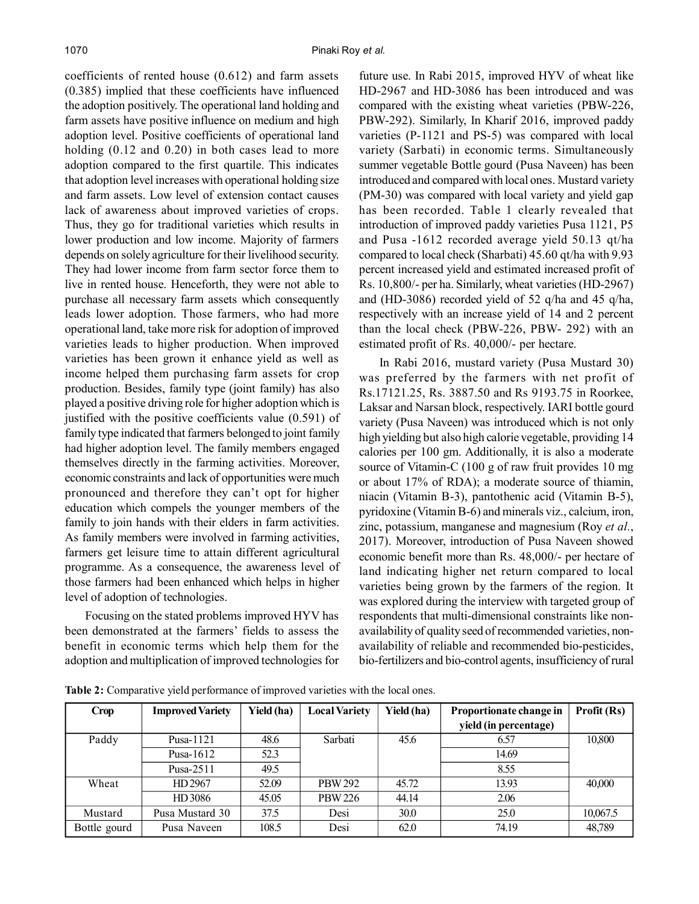coefficients of rented house (0.612) and farm assets (0.385) implied that these coefficients have influenced the adoption positively. The operational land holding and farm assets have positive influence on medium and high adoption level. Positive coefficients of operational land holding  $(0.12$  and  $0.20)$  in both cases lead to more adoption compared to the first quartile. This indicates that adoption level increases with operational holding size and farm assets. Low level of extension contact causes lack of awareness about improved varieties of crops. Thus, they go for traditional varieties which results in lower production and low income. Majority of farmers depends on solely agriculture for their livelihood security. They had lower income from farm sector force them to live in rented house. Henceforth, they were not able to purchase all necessary farm assets which consequently leads lower adoption. Those farmers, who had more operational land, take more risk for adoption of improved varieties leads to higher production. When improved varieties has been grown it enhance yield as well as income helped them purchasing farm assets for crop production. Besides, family type (joint family) has also played a positive driving role for higher adoption which is justified with the positive coefficients value (0.591) of family type indicated that farmers belonged to joint family had higher adoption level. The family members engaged themselves directly in the farming activities. Moreover, economic constraints and lack of opportunities were much pronounced and therefore they can't opt for higher education which compels the younger members of the family to join hands with their elders in farm activities. As family members were involved in farming activities, farmers get leisure time to attain different agricultural programme. As a consequence, the awareness level of those farmers had been enhanced which helps in higher level of adoption of technologies.

Focusing on the stated problems improved HYV has been demonstrated at the farmers' fields to assess the benefit in economic terms which help them for the adoption and multiplication of improved technologies for future use. In Rabi 2015, improved HYV of wheat like HD-2967 and HD-3086 has been introduced and was compared with the existing wheat varieties (PBW-226, PBW-292). Similarly, In Kharif 2016, improved paddy varieties (P-1121 and PS-5) was compared with local variety (Sarbati) in economic terms. Simultaneously summer vegetable Bottle gourd (Pusa Naveen) has been introduced and compared with local ones. Mustard variety (PM-30) was compared with local variety and yield gap has been recorded. Table 1 clearly revealed that introduction of improved paddy varieties Pusa 1121, P5 and Pusa -1612 recorded average yield 50.13 qt/ha compared to local check (Sharbati) 45.60 qt/ha with 9.93 percent increased yield and estimated increased profit of Rs. 10,800/- per ha. Similarly, wheat varieties (HD-2967) and (HD-3086) recorded yield of 52 q/ha and 45 q/ha, respectively with an increase yield of 14 and 2 percent than the local check (PBW-226, PBW- 292) with an estimated profit of Rs. 40,000/- per hectare.

In Rabi 2016, mustard variety (Pusa Mustard 30) was preferred by the farmers with net profit of Rs.17121.25, Rs. 3887.50 and Rs 9193.75 in Roorkee, Laksar and Narsan block, respectively. IARI bottle gourd variety (Pusa Naveen) was introduced which is not only high yielding but also high calorie vegetable, providing 14 calories per 100 gm. Additionally, it is also a moderate source of Vitamin-C (100 g of raw fruit provides 10 mg or about 17% of RDA); a moderate source of thiamin, niacin (Vitamin B-3), pantothenic acid (Vitamin B-5), pyridoxine (Vitamin B-6) and minerals viz., calcium, iron, zinc, potassium, manganese and magnesium (Roy *et al.*, 2017). Moreover, introduction of Pusa Naveen showed economic benefit more than Rs. 48,000/- per hectare of land indicating higher net return compared to local varieties being grown by the farmers of the region. It was explored during the interview with targeted group of respondents that multi-dimensional constraints like nonavailability of quality seed of recommended varieties, nonavailability of reliable and recommended bio-pesticides, bio-fertilizers and bio-control agents, insufficiency of rural

**Crop Improved Variety Yield (ha) Local Variety Yield (ha) Proportionate change in Profit (Rs) yield (in percentage)** Paddy | Pusa-1121 | 48.6 | Sarbati | 45.6 | 6.57 | 10,800 Pusa-1612 | 52.3 | 14.69 Pusa-2511 | 49.5 | 8.55 Wheat HD 2967 | 52.09 | PBW 292 | 45.72 | 13.93 | 40,000 HD 3086 | 45.05 | PBW 226 | 44.14 | 2.06 Mustard Pusa Mustard 30 37.5 Desi 30.0 25.0 10,067.5 Bottle gourd | Pusa Naveen | 108.5 | Desi | 62.0 | 74.19 | 48,789

**Table 2:** Comparative yield performance of improved varieties with the local ones.